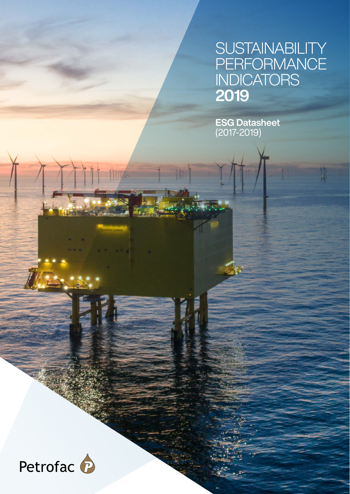#### SUSTAINABILITY PERFORMANCE **INDICATORS** 2019

ų,

ESG Datasheet (2017-2019)

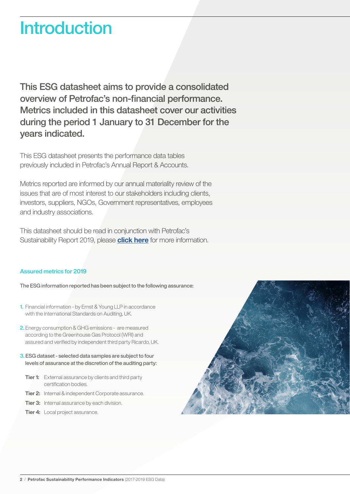#### **Introduction**

This ESG datasheet aims to provide a consolidated overview of Petrofac's non-financial performance. Metrics included in this datasheet cover our activities during the period 1 January to 31 December for the years indicated.

This ESG datasheet presents the performance data tables previously included in Petrofac's Annual Report & Accounts.

Metrics reported are informed by our annual materiality review of the issues that are of most interest to our stakeholders including clients, investors, suppliers, NGOs, Government representatives, employees and industry associations.

This datasheet should be read in conjunction with Petrofac's Sustainability Report 2019, please **[click here](https://www.petrofac.com/en-gb/sustainability/)** for more information.

#### Assured metrics for 2019

The ESG information reported has been subject to the following assurance:

- 1. Financial information by Ernst & Young LLP in accordance with the International Standards on Auditing, UK.
- 2. Energy consumption & GHG emissions are measured according to the Greenhouse Gas Protocol (WRI) and assured and verified by independent third party Ricardo, UK.
- 3. ESG dataset selected data samples are subject to four levels of assurance at the discretion of the auditing party:
	- **Tier 1:** External assurance by clients and third party certification bodies.
	- Tier 2: Internal & independent Corporate assurance.
	- **Tier 3:** Internal assurance by each division.
	- **Tier 4:** Local project assurance.

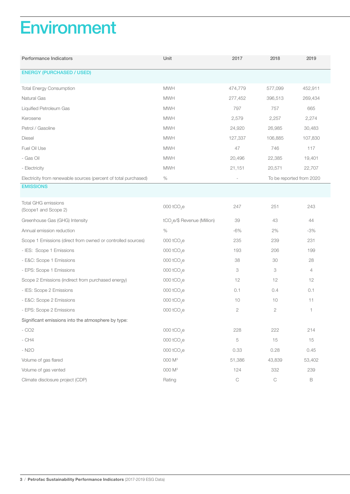## **Environment**

| Performance Indicators                                          | Unit                                    | 2017        | 2018        | 2019                     |
|-----------------------------------------------------------------|-----------------------------------------|-------------|-------------|--------------------------|
| <b>ENERGY (PURCHASED / USED)</b>                                |                                         |             |             |                          |
| <b>Total Energy Consumption</b>                                 | <b>MWH</b>                              | 474,779     | 577,099     | 452,911                  |
| Natural Gas                                                     | <b>MWH</b>                              | 277,452     | 396,513     | 269,434                  |
| Liquified Petroleum Gas                                         | <b>MWH</b>                              | 797         | 757         | 665                      |
| Kerosene                                                        | <b>MWH</b>                              | 2,579       | 2,257       | 2,274                    |
| Petrol / Gasoline                                               | <b>MWH</b>                              | 24,920      | 26,985      | 30,483                   |
| <b>Diesel</b>                                                   | <b>MWH</b>                              | 127,337     | 106,885     | 107,830                  |
| Fuel Oil Use                                                    | <b>MWH</b>                              | 47          | 746         | 117                      |
| - Gas Oil                                                       | <b>MWH</b>                              | 20,496      | 22,385      | 19,401                   |
| - Electricity                                                   | <b>MWH</b>                              | 21,151      | 20,571      | 22,707                   |
| Electricity from renewable sources (percent of total purchased) | $\%$                                    |             |             | To be reported from 2020 |
| <b>EMISSIONS</b>                                                |                                         |             |             |                          |
| <b>Total GHG emissions</b><br>(Scope1 and Scope 2)              | 000 tCO <sub>2</sub> e                  | 247         | 251         | 243                      |
| Greenhouse Gas (GHG) Intensity                                  | tCO <sub>2</sub> e/\$ Revenue (Million) | 39          | 43          | 44                       |
| Annual emission reduction                                       | $\%$                                    | $-6%$       | 2%          | $-3%$                    |
| Scope 1 Emissions (direct from owned or controlled sources)     | 000 tCO <sub>2</sub> e                  | 235         | 239         | 231                      |
| - IES: Scope 1 Emissions                                        | 000 tCO <sub>2</sub> e                  | 193         | 206         | 199                      |
| - E&C: Scope 1 Emissions                                        | 000 tCO <sub>2</sub> e                  | 38          | 30          | 28                       |
| - EPS: Scope 1 Emissions                                        | 000 tCO <sub>2</sub> e                  | 3           | 3           | 4                        |
| Scope 2 Emissions (indirect from purchased energy)              | 000 tCO <sub>2</sub> e                  | 12          | 12          | 12                       |
| - IES: Scope 2 Emissions                                        | 000 tCO <sub>2</sub> e                  | 0.1         | 0.4         | 0.1                      |
| - E&C: Scope 2 Emissions                                        | 000 tCO <sub>2</sub> e                  | 10          | 10          | 11                       |
| - EPS: Scope 2 Emissions                                        | 000 tCO <sub>2</sub> e                  | $\sqrt{2}$  | 2           | 1                        |
| Significant emissions into the atmosphere by type:              |                                         |             |             |                          |
| $-CO2$                                                          | 000 tCO <sub>2</sub> e                  | 228         | 222         | 214                      |
| $-$ CH4                                                         | 000 tCO <sub>2</sub> e                  | 5           | 15          | 15                       |
| - N <sub>2</sub> O                                              | 000 tCO <sub>2</sub> e                  | 0.33        | 0.28        | 0.45                     |
| Volume of gas flared                                            | 000 $M^3$                               | 51,386      | 43,839      | 53,402                   |
| Volume of gas vented                                            | 000 M <sup>3</sup>                      | 124         | 332         | 239                      |
| Climate disclosure project (CDP)                                | Rating                                  | $\mathsf C$ | $\mathsf C$ | $\mathsf B$              |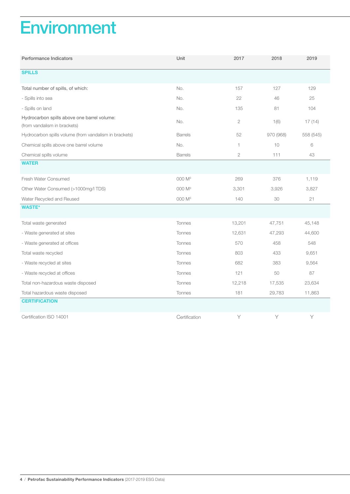### **Environment**

| Performance Indicators                                                      | Unit               | 2017         | 2018      | 2019      |
|-----------------------------------------------------------------------------|--------------------|--------------|-----------|-----------|
| <b>SPILLS</b>                                                               |                    |              |           |           |
| Total number of spills, of which:                                           | No.                | 157          | 127       | 129       |
| - Spills into sea                                                           | No.                | 22           | 46        | 25        |
| - Spills on land                                                            | No.                | 135          | 81        | 104       |
| Hydrocarbon spills above one barrel volume:<br>(from vandalism in brackets) | No.                | $\mathbf{2}$ | 1(6)      | 17(14)    |
| Hydrocarbon spills volume (from vandalism in brackets)                      | <b>Barrels</b>     | 52           | 970 (968) | 558 (545) |
| Chemical spills above one barrel volume                                     | No.                | 1            | 10        | 6         |
| Chemical spills volume                                                      | <b>Barrels</b>     | $\mathbf{2}$ | 111       | 43        |
| <b>WATER</b>                                                                |                    |              |           |           |
| Fresh Water Consumed                                                        | 000 M <sup>3</sup> | 269          | 376       | 1,119     |
| Other Water Consumed (>1000mg/l TDS)                                        | 000 M <sup>3</sup> | 3,301        | 3,926     | 3,827     |
| Water Recycled and Reused                                                   | 000 M <sup>3</sup> | 140          | 30        | 21        |
| <b>WASTE*</b>                                                               |                    |              |           |           |
| Total waste generated                                                       | Tonnes             | 13,201       | 47,751    | 45,148    |
| - Waste generated at sites                                                  | Tonnes             | 12,631       | 47,293    | 44,600    |
| - Waste generated at offices                                                | Tonnes             | 570          | 458       | 548       |
| Total waste recycled                                                        | Tonnes             | 803          | 433       | 9,651     |
| - Waste recycled at sites                                                   | <b>Tonnes</b>      | 682          | 383       | 9,564     |
| - Waste recycled at offices                                                 | <b>Tonnes</b>      | 121          | 50        | 87        |
| Total non-hazardous waste disposed                                          | <b>Tonnes</b>      | 12,218       | 17,535    | 23,634    |
| Total hazardous waste disposed                                              | Tonnes             | 181          | 29,783    | 11,863    |
| <b>CERTIFICATION</b>                                                        |                    |              |           |           |
| Certification ISO 14001                                                     | Certification      | Y            | Y         | Y         |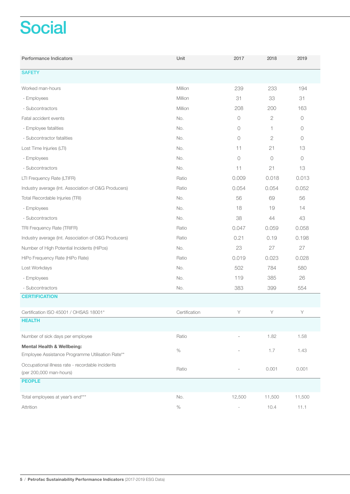# **Social**

| Performance Indicators                                                                    | Unit          | 2017                     | 2018         | 2019       |
|-------------------------------------------------------------------------------------------|---------------|--------------------------|--------------|------------|
| <b>SAFETY</b>                                                                             |               |                          |              |            |
| Worked man-hours                                                                          | Million       | 239                      | 233          | 194        |
| - Employees                                                                               | Million       | 31                       | 33           | 31         |
| - Subcontractors                                                                          | Million       | 208                      | 200          | 163        |
| Fatal accident events                                                                     | No.           | $\bigcirc$               | $\mathbf{2}$ | $\bigcirc$ |
| - Employee fatalities                                                                     | No.           | $\circ$                  | 1            | $\circ$    |
| - Subcontractor fatalities                                                                | No.           | $\bigcirc$               | 2            | $\bigcirc$ |
| Lost Time Injuries (LTI)                                                                  | No.           | 11                       | 21           | 13         |
| - Employees                                                                               | No.           | $\bigcirc$               | $\circ$      | $\circ$    |
| - Subcontractors                                                                          | No.           | 11                       | 21           | 13         |
| LTI Frequency Rate (LTIFR)                                                                | Ratio         | 0.009                    | 0.018        | 0.013      |
| Industry average (Int. Association of O&G Producers)                                      | Ratio         | 0.054                    | 0.054        | 0.052      |
| Total Recordable Injuries (TRI)                                                           | No.           | 56                       | 69           | 56         |
| - Employees                                                                               | No.           | 18                       | 19           | 14         |
| - Subcontractors                                                                          | No.           | 38                       | 44           | 43         |
| TRI Frequency Rate (TRIFR)                                                                | Ratio         | 0.047                    | 0.059        | 0.058      |
| Industry average (Int. Association of O&G Producers)                                      | Ratio         | 0.21                     | 0.19         | 0.198      |
| Number of High Potential Incidents (HiPos)                                                | No.           | 23                       | 27           | 27         |
| HiPo Frequency Rate (HiPo Rate)                                                           | Ratio         | 0.019                    | 0.023        | 0.028      |
| Lost Workdays                                                                             | No.           | 502                      | 784          | 580        |
| - Employees                                                                               | No.           | 119                      | 385          | 26         |
| - Subcontractors                                                                          | No.           | 383                      | 399          | 554        |
| <b>CERTIFICATION</b>                                                                      |               |                          |              |            |
| Certification ISO 45001 / OHSAS 18001*                                                    | Certification | Y                        | Υ            | Υ          |
| <b>HEALTH</b>                                                                             |               |                          |              |            |
| Number of sick days per employee                                                          | Ratio         |                          | 1.82         | 1.58       |
| <b>Mental Health &amp; Wellbeing:</b><br>Employee Assistance Programme Utilisation Rate** | $\%$          |                          | 1.7          | 1.43       |
| Occupational illness rate - recordable incidents<br>(per 200,000 man-hours)               | Ratio         | $\overline{a}$           | 0.001        | 0.001      |
| <b>PEOPLE</b>                                                                             |               |                          |              |            |
| Total employees at year's end***                                                          | No.           | 12,500                   | 11,500       | 11,500     |
| Attrition                                                                                 | $\%$          | $\overline{\phantom{a}}$ | 10.4         | 11.1       |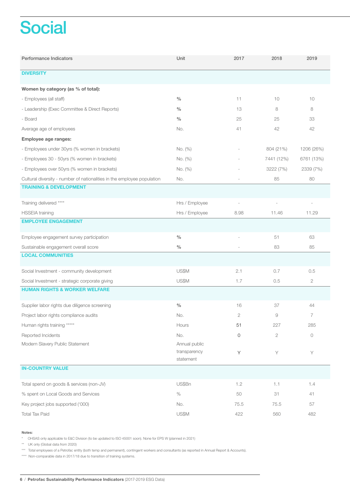# **Social**

| Performance Indicators                                                  | Unit                                       | 2017         | 2018           | 2019         |  |
|-------------------------------------------------------------------------|--------------------------------------------|--------------|----------------|--------------|--|
| <b>DIVERSITY</b>                                                        |                                            |              |                |              |  |
| Women by category (as % of total):                                      |                                            |              |                |              |  |
| - Employees (all staff)                                                 | $\frac{0}{0}$                              | 11           | 10             | 10           |  |
| - Leadership (Exec Committee & Direct Reports)                          | $\%$                                       | 13           | 8              | 8            |  |
| - Board                                                                 | $\frac{0}{0}$                              | 25           | 25             | 33           |  |
| Average age of employees                                                | No.                                        | 41           | 42             | 42           |  |
| Employee age ranges:                                                    |                                            |              |                |              |  |
| - Employees under 30yrs (% women in brackets)                           | No. (%)                                    |              | 804 (21%)      | 1206 (26%)   |  |
| - Employees 30 - 50yrs (% women in brackets)                            | No. (%)                                    |              | 7441 (12%)     | 6761 (13%)   |  |
| - Employees over 50yrs (% women in brackets)                            | No. (%)                                    |              | 3222 (7%)      | 2339 (7%)    |  |
| Cultural diversity - number of nationalities in the employee population | No.                                        |              | 85             | 80           |  |
| <b>TRAINING &amp; DEVELOPMENT</b>                                       |                                            |              |                |              |  |
| Training delivered ****                                                 | Hrs / Employee                             |              |                |              |  |
| <b>HSSEIA</b> training                                                  | Hrs / Employee                             | 8.98         | 11.46          | 11.29        |  |
| <b>EMPLOYEE ENGAGEMENT</b>                                              |                                            |              |                |              |  |
| Employee engagement survey participation                                | $\frac{0}{0}$                              |              | 51             | 63           |  |
| Sustainable engagement overall score                                    | $\frac{0}{0}$                              |              | 83             | 85           |  |
| <b>LOCAL COMMUNITIES</b>                                                |                                            |              |                |              |  |
| Social Investment - community development                               | US\$M                                      | 2.1          | 0.7            | 0.5          |  |
| Social Investment - strategic corporate giving                          | US\$M                                      | 1.7          | 0.5            | $\mathbf{2}$ |  |
| <b>HUMAN RIGHTS &amp; WORKER WELFARE</b>                                |                                            |              |                |              |  |
| Supplier labor rights due diligence screening                           | $\frac{0}{0}$                              | 16           | 37             | 44           |  |
| Project labor rights compliance audits                                  | No.                                        | $\mathbf{2}$ | 9              | 7            |  |
| Human rights training *****                                             | Hours                                      | 51           | 227            | 285          |  |
| Reported Incidents                                                      | No.                                        | 0            | $\overline{2}$ | 0            |  |
| Modern Slavery Public Statement                                         | Annual public<br>transparency<br>statement | Y            | Y              | Y            |  |
| <b>IN-COUNTRY VALUE</b>                                                 |                                            |              |                |              |  |
| Total spend on goods & services (non-JV)                                | US\$Bn                                     | 1.2          | 1.1            | 1.4          |  |
| % spent on Local Goods and Services                                     | $\%$                                       | 50           | 31             | 41           |  |
| Key project jobs supported ('000)                                       | No.                                        | 75.5         | 75.5           | 57           |  |
| <b>Total Tax Paid</b>                                                   | US\$M                                      | 422          | 560            | 482          |  |

#### Notes:

\* OHSAS only applicable to E&C Division (to be updated to ISO 45001 soon). None for EPS W (planned in 2021)

\*\* UK only (Global data from 2020)

\*\*\* Total employees of a Petrofac entity (both temp and permanent), contingent workers and consultants (as reported in Annual Report & Accounts).

\*\*\*\* Non-comparable data in 2017/18 due to transition of training systems.